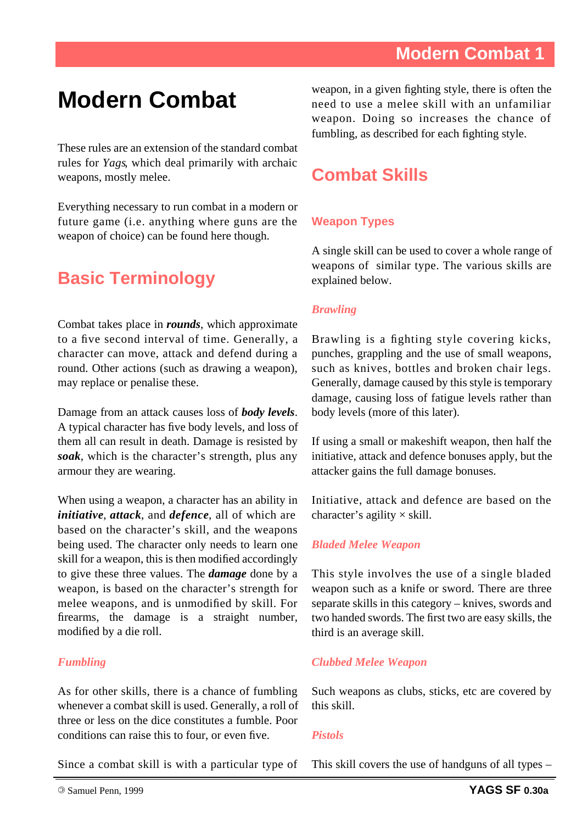These rules are an extension of the standard combat rules for *Yags*, which deal primarily with archaic weapons, mostly melee.

Everything necessary to run combat in a modern or future game (i.e. anything where guns are the weapon of choice) can be found here though.

# **Basic Terminology**

Combat takes place in *rounds*, which approximate to a five second interval of time. Generally, a character can move, attack and defend during a round. Other actions (such as drawing a weapon), may replace or penalise these.

Damage from an attack causes loss of *body levels*. A typical character has five body levels, and loss of them all can result in death. Damage is resisted by *soak*, which is the character's strength, plus any armour they are wearing.

When using a weapon, a character has an ability in *initiative*, *attack*, and *defence*, all of which are based on the character's skill, and the weapons being used. The character only needs to learn one skill for a weapon, this is then modified accordingly to give these three values. The *damage* done by a weapon, is based on the character's strength for melee weapons, and is unmodified by skill. For firearms, the damage is a straight number, modified by a die roll.

#### *Fumbling*

As for other skills, there is a chance of fumbling whenever a combat skill is used. Generally, a roll of three or less on the dice constitutes a fumble. Poor conditions can raise this to four, or even five.

weapon, in a given fighting style, there is often the need to use a melee skill with an unfamiliar weapon. Doing so increases the chance of fumbling, as described for each fighting style.

# **Combat Skills**

#### **Weapon Types**

A single skill can be used to cover a whole range of weapons of similar type. The various skills are explained below.

#### *Brawling*

Brawling is a fighting style covering kicks, punches, grappling and the use of small weapons, such as knives, bottles and broken chair legs. Generally, damage caused by this style is temporary damage, causing loss of fatigue levels rather than body levels (more of this later).

If using a small or makeshift weapon, then half the initiative, attack and defence bonuses apply, but the attacker gains the full damage bonuses.

Initiative, attack and defence are based on the character's agility  $\times$  skill.

#### *Bladed Melee Weapon*

This style involves the use of a single bladed weapon such as a knife or sword. There are three separate skills in this category – knives, swords and two handed swords. The first two are easy skills, the third is an average skill.

#### *Clubbed Melee Weapon*

Such weapons as clubs, sticks, etc are covered by this skill.

#### *Pistols*

Since a combat skill is with a particular type of

This skill covers the use of handguns of all types –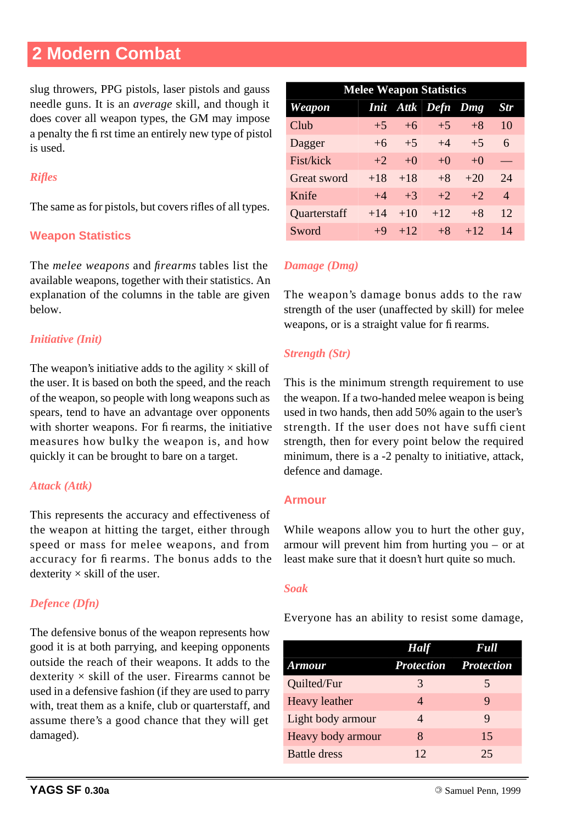slug throwers, PPG pistols, laser pistols and gauss needle guns. It is an *average* skill, and though it does cover all weapon types, the GM may impose a penalty the fi rst time an entirely new type of pistol is used.

#### *Rifles*

The same as for pistols, but covers rifles of all types.

#### **Weapon Statistics**

The *melee weapons* and *firearms* tables list the available weapons, together with their statistics. An explanation of the columns in the table are given below.

#### *Initiative (Init)*

The weapon's initiative adds to the agility  $\times$  skill of the user. It is based on both the speed, and the reach of the weapon, so people with long weapons such as spears, tend to have an advantage over opponents with shorter weapons. For fi rearms, the initiative measures how bulky the weapon is, and how quickly it can be brought to bare on a target.

#### *Attack (Attk)*

This represents the accuracy and effectiveness of the weapon at hitting the target, either through speed or mass for melee weapons, and from accuracy for fi rearms. The bonus adds to the dexterity  $\times$  skill of the user.

#### *Defence (Dfn)*

The defensive bonus of the weapon represents how good it is at both parrying, and keeping opponents outside the reach of their weapons. It adds to the dexterity  $\times$  skill of the user. Firearms cannot be used in a defensive fashion (if they are used to parry with, treat them as a knife, club or quarterstaff, and assume there's a good chance that they will get damaged).

| <b>Melee Weapon Statistics</b> |             |       |               |       |                |  |  |  |
|--------------------------------|-------------|-------|---------------|-------|----------------|--|--|--|
| Weapon                         | <i>Init</i> |       | Attk Defn Dmg |       | Str            |  |  |  |
| Club                           | $+5$        | $+6$  | $+5$          | $+8$  | 10             |  |  |  |
| Dagger                         | $+6$        | $+5$  | $+4$          | $+5$  | 6              |  |  |  |
| Fist/kick                      | $+2$        | $+0$  | $+0$          | $+0$  |                |  |  |  |
| Great sword                    | $+18$       | $+18$ | $+8$          | $+20$ | 24             |  |  |  |
| Knife                          | $+4$        | $+3$  | $+2$          | $+2$  | $\overline{A}$ |  |  |  |
| Quarterstaff                   | $+14$       | $+10$ | $+12.$        | $+8$  | 12             |  |  |  |
| Sword                          | $+9$        | $+12$ | $+8$          | $+12$ | 14             |  |  |  |

#### *Damage (Dmg)*

The weapon's damage bonus adds to the raw strength of the user (unaffected by skill) for melee weapons, or is a straight value for fi rearms.

#### *Strength (Str)*

This is the minimum strength requirement to use the weapon. If a two-handed melee weapon is being used in two hands, then add 50% again to the user's strength. If the user does not have suffi cient strength, then for every point below the required minimum, there is a -2 penalty to initiative, attack, defence and damage.

#### **Armour**

While weapons allow you to hurt the other guy, armour will prevent him from hurting you – or at least make sure that it doesn't hurt quite so much.

#### *Soak*

Everyone has an ability to resist some damage,

|                      | <b>Half</b> | <b>Full</b>                  |
|----------------------|-------------|------------------------------|
| <b>Armour</b>        |             | <b>Protection Protection</b> |
| Quilted/Fur          | 3           | 5                            |
| <b>Heavy</b> leather | 4           | 9                            |
| Light body armour    | 4           | 9                            |
| Heavy body armour    | 8           | 15                           |
| <b>Battle dress</b>  | 12          | 25                           |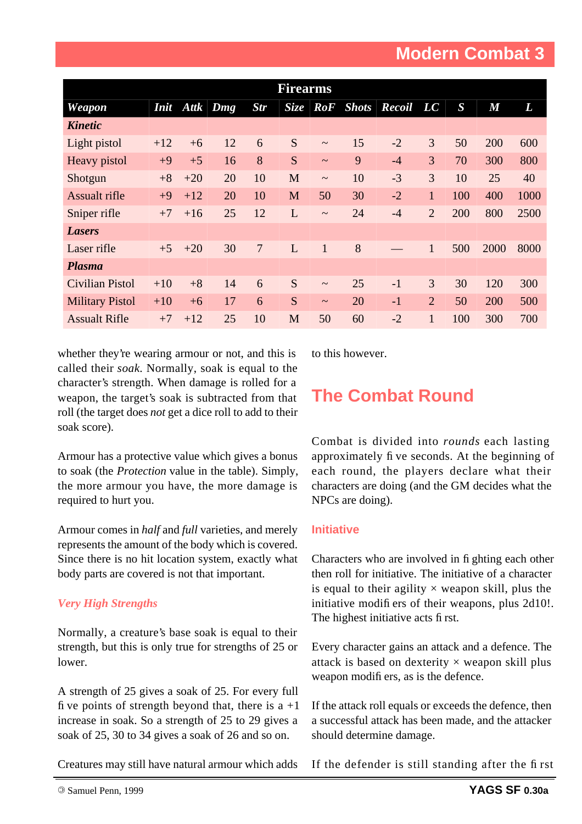| <b>Firearms</b>        |             |       |     |                |             |                       |           |           |                |                  |                |      |
|------------------------|-------------|-------|-----|----------------|-------------|-----------------------|-----------|-----------|----------------|------------------|----------------|------|
| Weapon                 | <i>Init</i> | Attk  | Dmg | <b>Str</b>     | <b>Size</b> |                       | RoF Shots | Recoil LC |                | $\boldsymbol{S}$ | $\overline{M}$ | L    |
| <b>Kinetic</b>         |             |       |     |                |             |                       |           |           |                |                  |                |      |
| Light pistol           | $+12$       | $+6$  | 12  | 6              | S           | $\sim$                | 15        | $-2$      | 3              | 50               | 200            | 600  |
| Heavy pistol           | $+9$        | $+5$  | 16  | 8              | S           | $\sim$                | 9         | $-4$      | 3              | 70               | 300            | 800  |
| Shotgun                | $+8$        | $+20$ | 20  | 10             | M           | $\sim$                | 10        | $-3$      | $\overline{3}$ | 10               | 25             | 40   |
| <b>Assualt rifle</b>   | $+9$        | $+12$ | 20  | 10             | M           | 50                    | 30        | $-2$      | 1              | 100              | 400            | 1000 |
| Sniper rifle           | $+7$        | $+16$ | 25  | 12             | L           | $\tilde{\phantom{a}}$ | 24        | $-4$      | $\overline{2}$ | 200              | 800            | 2500 |
| <b>Lasers</b>          |             |       |     |                |             |                       |           |           |                |                  |                |      |
| Laser rifle            | $+5$        | $+20$ | 30  | $\overline{7}$ | L           | $\mathbf{1}$          | 8         |           | $\mathbf{1}$   | 500              | 2000           | 8000 |
| <b>Plasma</b>          |             |       |     |                |             |                       |           |           |                |                  |                |      |
| <b>Civilian Pistol</b> | $+10$       | $+8$  | 14  | 6              | S           | $\sim$                | 25        | $-1$      | 3              | 30               | 120            | 300  |
| <b>Military Pistol</b> | $+10$       | $+6$  | 17  | 6              | S           | $\sim$                | 20        | $-1$      | $\overline{2}$ | 50               | 200            | 500  |
| <b>Assualt Rifle</b>   | $+7$        | $+12$ | 25  | 10             | M           | 50                    | 60        | $-2$      | 1              | 100              | 300            | 700  |

whether they're wearing armour or not, and this is called their *soak*. Normally, soak is equal to the character's strength. When damage is rolled for a weapon, the target's soak is subtracted from that roll (the target does *not* get a dice roll to add to their soak score).

to this however.

# **The Combat Round**

Armour has a protective value which gives a bonus to soak (the *Protection* value in the table). Simply, the more armour you have, the more damage is required to hurt you.

Armour comes in *half* and *full* varieties, and merely represents the amount of the body which is covered. Since there is no hit location system, exactly what body parts are covered is not that important.

#### *Very High Strengths*

Normally, a creature's base soak is equal to their strength, but this is only true for strengths of 25 or lower.

A strength of 25 gives a soak of 25. For every full fi ve points of strength beyond that, there is  $a +1$ increase in soak. So a strength of 25 to 29 gives a soak of 25, 30 to 34 gives a soak of 26 and so on.

Combat is divided into *rounds* each lasting approximately fi ve seconds. At the beginning of each round, the players declare what their characters are doing (and the GM decides what the NPCs are doing).

#### **Initiative**

Characters who are involved in fi ghting each other then roll for initiative. The initiative of a character is equal to their agility  $\times$  weapon skill, plus the initiative modifi ers of their weapons, plus 2d10!. The highest initiative acts fi rst.

Every character gains an attack and a defence. The attack is based on dexterity  $\times$  weapon skill plus weapon modifi ers, as is the defence.

If the attack roll equals or exceeds the defence, then a successful attack has been made, and the attacker should determine damage.

Creatures may still have natural armour which adds

If the defender is still standing after the fi rst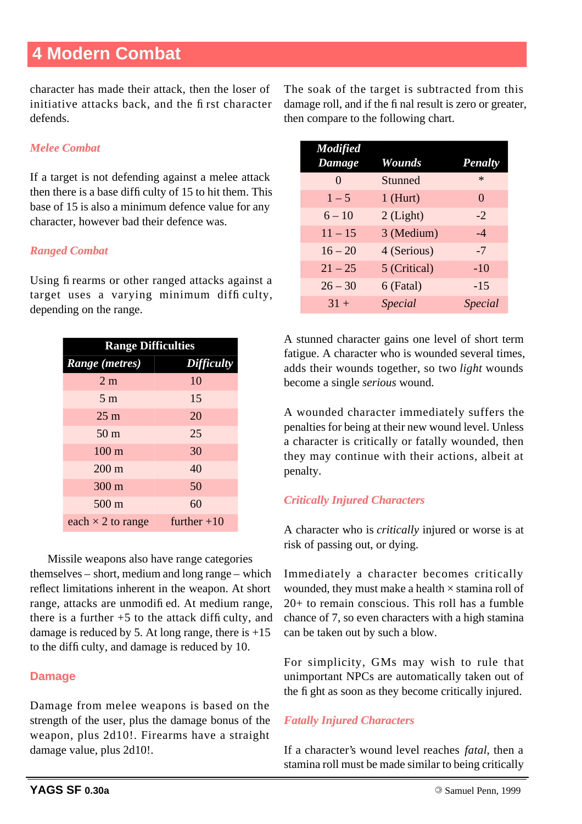character has made their attack, then the loser of initiative attacks back, and the fi rst character defends.

#### *Melee Combat*

If a target is not defending against a melee attack then there is a base diffi culty of 15 to hit them. This base of 15 is also a minimum defence value for any character, however bad their defence was.

#### *Ranged Combat*

Using fi rearms or other ranged attacks against a target uses a varying minimum diffi culty, depending on the range.

| <b>Range Difficulties</b> |                   |  |  |  |  |  |
|---------------------------|-------------------|--|--|--|--|--|
| Range (metres)            | <b>Difficulty</b> |  |  |  |  |  |
| 2 <sub>m</sub>            | 10                |  |  |  |  |  |
| 5 <sub>m</sub>            | 15                |  |  |  |  |  |
| $25 \text{ m}$            | 20                |  |  |  |  |  |
| 50 <sub>m</sub>           | 25                |  |  |  |  |  |
| $100 \text{ m}$           | 30                |  |  |  |  |  |
| $200 \text{ m}$           | 40                |  |  |  |  |  |
| 300 m                     | 50                |  |  |  |  |  |
| $500 \text{ m}$           | 60                |  |  |  |  |  |
| each $\times$ 2 to range  | further $+10$     |  |  |  |  |  |

Missile weapons also have range categories themselves – short, medium and long range – which reflect limitations inherent in the weapon. At short range, attacks are unmodifi ed. At medium range, there is a further  $+5$  to the attack difficulty, and damage is reduced by 5. At long range, there is  $+15$ to the diffi culty, and damage is reduced by 10.

#### **Damage**

Damage from melee weapons is based on the strength of the user, plus the damage bonus of the weapon, plus 2d10!. Firearms have a straight damage value, plus 2d10!.

The soak of the target is subtracted from this damage roll, and if the fi nal result is zero or greater, then compare to the following chart.

| <b>Modified</b><br>Damage | Wounds         | <b>Penalty</b> |
|---------------------------|----------------|----------------|
| $\mathbf{0}$              | Stunned        | $\ast$         |
| $1 - 5$                   | $1$ (Hurt)     | $\Omega$       |
| $6 - 10$                  | $2$ (Light)    | $-2$           |
| $11 - 15$                 | 3 (Medium)     | $-4$           |
| $16 - 20$                 | 4 (Serious)    | $-7$           |
| $21 - 25$                 | 5 (Critical)   | $-10$          |
| $26 - 30$                 | 6 (Fatal)      | $-15$          |
| $31 +$                    | <i>Special</i> | <i>Special</i> |

A stunned character gains one level of short term fatigue. A character who is wounded several times, adds their wounds together, so two *light* wounds become a single *serious* wound.

A wounded character immediately suffers the penalties for being at their new wound level. Unless a character is critically or fatally wounded, then they may continue with their actions, albeit at penalty.

#### *Critically Injured Characters*

A character who is *critically* injured or worse is at risk of passing out, or dying.

Immediately a character becomes critically wounded, they must make a health  $\times$  stamina roll of 20+ to remain conscious. This roll has a fumble chance of 7, so even characters with a high stamina can be taken out by such a blow.

For simplicity, GMs may wish to rule that unimportant NPCs are automatically taken out of the fi ght as soon as they become critically injured.

#### *Fatally Injured Characters*

If a character's wound level reaches *fatal*, then a stamina roll must be made similar to being critically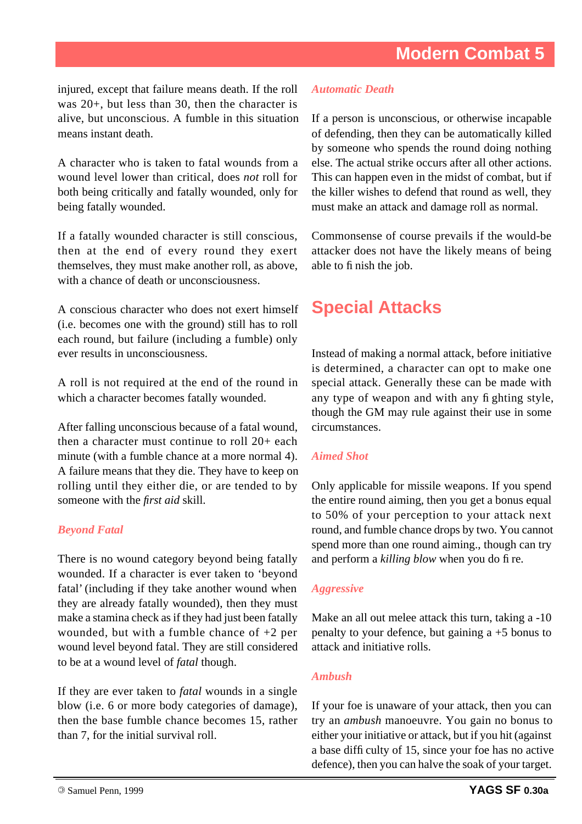injured, except that failure means death. If the roll was 20+, but less than 30, then the character is alive, but unconscious. A fumble in this situation means instant death.

A character who is taken to fatal wounds from a wound level lower than critical, does *not* roll for both being critically and fatally wounded, only for being fatally wounded.

If a fatally wounded character is still conscious, then at the end of every round they exert themselves, they must make another roll, as above, with a chance of death or unconsciousness.

A conscious character who does not exert himself (i.e. becomes one with the ground) still has to roll each round, but failure (including a fumble) only ever results in unconsciousness.

A roll is not required at the end of the round in which a character becomes fatally wounded.

After falling unconscious because of a fatal wound, then a character must continue to roll 20+ each minute (with a fumble chance at a more normal 4). A failure means that they die. They have to keep on rolling until they either die, or are tended to by someone with the *first aid* skill.

#### *Beyond Fatal*

There is no wound category beyond being fatally wounded. If a character is ever taken to 'beyond fatal' (including if they take another wound when they are already fatally wounded), then they must make a stamina check as if they had just been fatally wounded, but with a fumble chance of  $+2$  per wound level beyond fatal. They are still considered to be at a wound level of *fatal* though.

If they are ever taken to *fatal* wounds in a single blow (i.e. 6 or more body categories of damage), then the base fumble chance becomes 15, rather than 7, for the initial survival roll.

#### *Automatic Death*

If a person is unconscious, or otherwise incapable of defending, then they can be automatically killed by someone who spends the round doing nothing else. The actual strike occurs after all other actions. This can happen even in the midst of combat, but if the killer wishes to defend that round as well, they must make an attack and damage roll as normal.

Commonsense of course prevails if the would-be attacker does not have the likely means of being able to fi nish the job.

### **Special Attacks**

Instead of making a normal attack, before initiative is determined, a character can opt to make one special attack. Generally these can be made with any type of weapon and with any fi ghting style, though the GM may rule against their use in some circumstances.

#### *Aimed Shot*

Only applicable for missile weapons. If you spend the entire round aiming, then you get a bonus equal to 50% of your perception to your attack next round, and fumble chance drops by two. You cannot spend more than one round aiming., though can try and perform a *killing blow* when you do fi re.

#### *Aggressive*

Make an all out melee attack this turn, taking a -10 penalty to your defence, but gaining a +5 bonus to attack and initiative rolls.

#### *Ambush*

If your foe is unaware of your attack, then you can try an *ambush* manoeuvre. You gain no bonus to either your initiative or attack, but if you hit (against a base diffi culty of 15, since your foe has no active defence), then you can halve the soak of your target.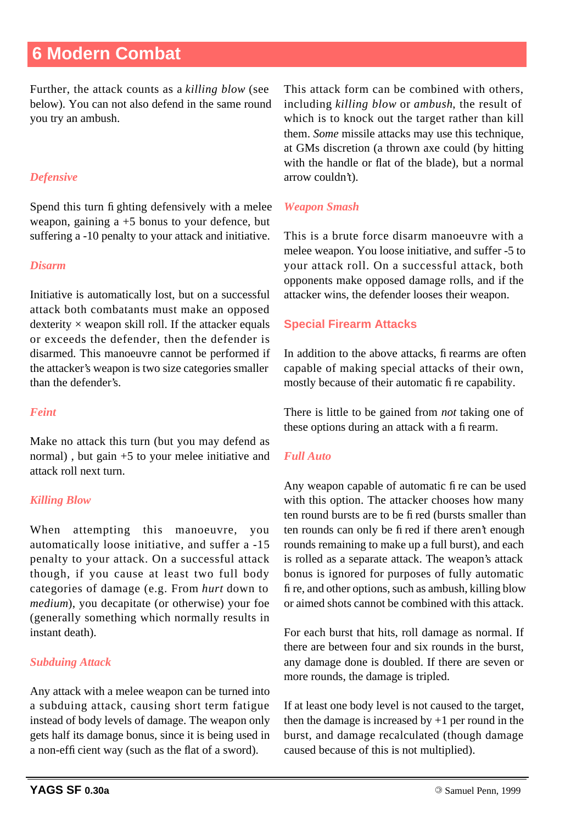Further, the attack counts as a *killing blow* (see below). You can not also defend in the same round you try an ambush.

#### *Defensive*

Spend this turn fi ghting defensively with a melee weapon, gaining  $a + 5$  bonus to your defence, but suffering a -10 penalty to your attack and initiative.

#### *Disarm*

Initiative is automatically lost, but on a successful attack both combatants must make an opposed dexterity  $\times$  weapon skill roll. If the attacker equals or exceeds the defender, then the defender is disarmed. This manoeuvre cannot be performed if the attacker's weapon is two size categories smaller than the defender's.

#### *Feint*

Make no attack this turn (but you may defend as normal) , but gain +5 to your melee initiative and attack roll next turn.

#### *Killing Blow*

When attempting this manoeuvre, you automatically loose initiative, and suffer a -15 penalty to your attack. On a successful attack though, if you cause at least two full body categories of damage (e.g. From *hurt* down to *medium*), you decapitate (or otherwise) your foe (generally something which normally results in instant death).

#### *Subduing Attack*

Any attack with a melee weapon can be turned into a subduing attack, causing short term fatigue instead of body levels of damage. The weapon only gets half its damage bonus, since it is being used in a non-effi cient way (such as the flat of a sword).

This attack form can be combined with others, including *killing blow* or *ambush*, the result of which is to knock out the target rather than kill them. *Some* missile attacks may use this technique, at GMs discretion (a thrown axe could (by hitting with the handle or flat of the blade), but a normal arrow couldn't).

#### *Weapon Smash*

This is a brute force disarm manoeuvre with a melee weapon. You loose initiative, and suffer -5 to your attack roll. On a successful attack, both opponents make opposed damage rolls, and if the attacker wins, the defender looses their weapon.

#### **Special Firearm Attacks**

In addition to the above attacks, fi rearms are often capable of making special attacks of their own, mostly because of their automatic fi re capability.

There is little to be gained from *not* taking one of these options during an attack with a fi rearm.

#### *Full Auto*

Any weapon capable of automatic fi re can be used with this option. The attacker chooses how many ten round bursts are to be fi red (bursts smaller than ten rounds can only be fi red if there aren't enough rounds remaining to make up a full burst), and each is rolled as a separate attack. The weapon's attack bonus is ignored for purposes of fully automatic fi re, and other options, such as ambush, killing blow or aimed shots cannot be combined with this attack.

For each burst that hits, roll damage as normal. If there are between four and six rounds in the burst, any damage done is doubled. If there are seven or more rounds, the damage is tripled.

If at least one body level is not caused to the target, then the damage is increased by  $+1$  per round in the burst, and damage recalculated (though damage caused because of this is not multiplied).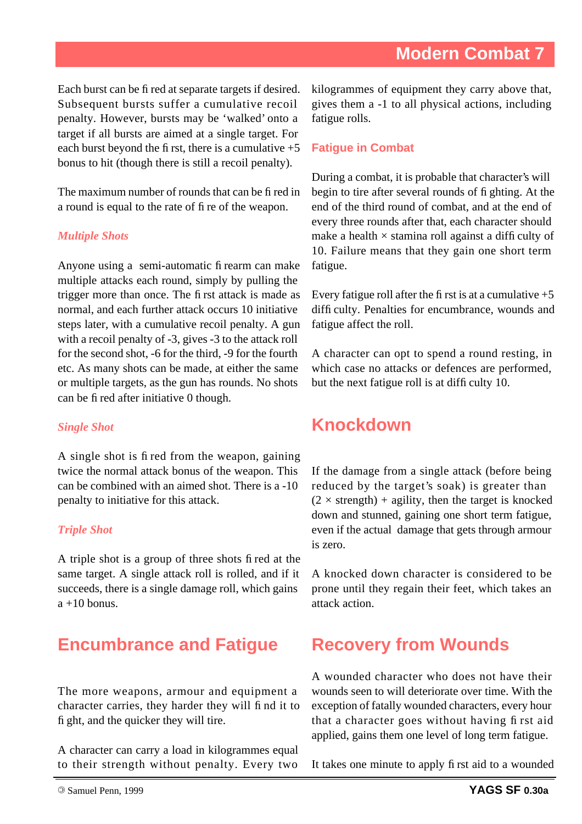Each burst can be fi red at separate targets if desired. Subsequent bursts suffer a cumulative recoil penalty. However, bursts may be 'walked' onto a target if all bursts are aimed at a single target. For each burst beyond the fi rst, there is a cumulative  $+5$ bonus to hit (though there is still a recoil penalty).

The maximum number of rounds that can be fi red in a round is equal to the rate of fi re of the weapon.

#### *Multiple Shots*

Anyone using a semi-automatic fi rearm can make multiple attacks each round, simply by pulling the trigger more than once. The fi rst attack is made as normal, and each further attack occurs 10 initiative steps later, with a cumulative recoil penalty. A gun with a recoil penalty of -3, gives -3 to the attack roll for the second shot, -6 for the third, -9 for the fourth etc. As many shots can be made, at either the same or multiple targets, as the gun has rounds. No shots can be fi red after initiative 0 though.

#### *Single Shot*

A single shot is fi red from the weapon, gaining twice the normal attack bonus of the weapon. This can be combined with an aimed shot. There is a -10 penalty to initiative for this attack.

#### *Triple Shot*

A triple shot is a group of three shots fi red at the same target. A single attack roll is rolled, and if it succeeds, there is a single damage roll, which gains  $a + 10$  bonus.

# **Encumbrance and Fatigue**

The more weapons, armour and equipment a character carries, they harder they will fi nd it to fi ght, and the quicker they will tire.

A character can carry a load in kilogrammes equal to their strength without penalty. Every two kilogrammes of equipment they carry above that, gives them a -1 to all physical actions, including fatigue rolls.

#### **Fatigue in Combat**

During a combat, it is probable that character's will begin to tire after several rounds of fi ghting. At the end of the third round of combat, and at the end of every three rounds after that, each character should make a health  $\times$  stamina roll against a difficulty of 10. Failure means that they gain one short term fatigue.

Every fatigue roll after the first is at a cumulative  $+5$ diffi culty. Penalties for encumbrance, wounds and fatigue affect the roll.

A character can opt to spend a round resting, in which case no attacks or defences are performed, but the next fatigue roll is at diffi culty 10.

### **Knockdown**

If the damage from a single attack (before being reduced by the target's soak) is greater than  $(2 \times$  strength) + agility, then the target is knocked down and stunned, gaining one short term fatigue, even if the actual damage that gets through armour is zero.

A knocked down character is considered to be prone until they regain their feet, which takes an attack action.

# **Recovery from Wounds**

A wounded character who does not have their wounds seen to will deteriorate over time. With the exception of fatally wounded characters, every hour that a character goes without having fi rst aid applied, gains them one level of long term fatigue.

It takes one minute to apply fi rst aid to a wounded